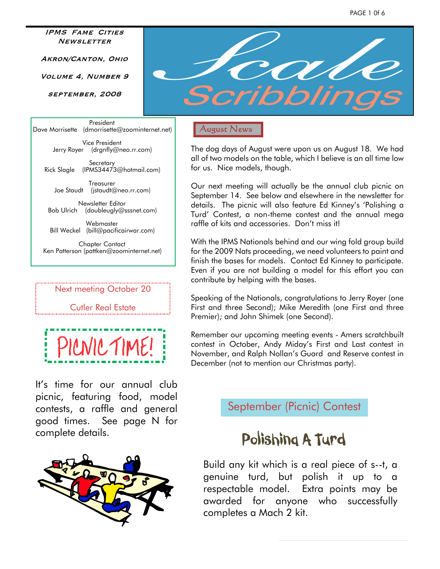**IPMS FAME CITIES NEWSLETTER** 

AKRON/CANTON, OHIO

VOLUME 4. NUMBER 9

SEPTEMBER, 2008

President Dave Morrisette (dmorrisette@zoominternet.net)

> Vice President Jerry Royer (drgnfly@neo.rr.com)

**Secretary** Rick Slagle (IPMS34473@hotmail.com)

Treasurer Joe Staudt (jstaudt@neo.rr.com)

Newsletter Editor Bob Ulrich (doubleugly@sssnet.com)

Webmaster Bill Weckel (bill@pacificairwar.com)

Chapter Contact Ken Patterson (pattken@zoominternet.net)

#### Next meeting October 20

#### Cutler Real Estate

PILNIC TIME!

It's time for our annual club picnic, featuring food, model contests, a raffle and general good times. See page N for complete details.





#### **August News**

The dog days of August were upon us on August 18. We had all of two models on the table, which I believe is an all time low for us. Nice models, though.

Our next meeting will actually be the annual club picnic on September 14. See below and elsewhere in the newsletter for details. The picnic will also feature Ed Kinney's 'Polishing a Turd' Contest, a non-theme contest and the annual mega raffle of kits and accessories. Don't miss it!

With the IPMS Nationals behind and our wing fold group build for the 2009 Nats proceeding, we need volunteers to paint and finish the bases for models. Contact Ed Kinney to participate. Even if you are not building a model for this effort you can contribute by helping with the bases.

Speaking of the Nationals, congratulations to Jerry Royer (one First and three Second); Mike Meredith (one First and three Premier); and John Shimek (one Second).

Remember our upcoming meeting events - Amers scratchbuilt contest in October, Andy Miday's First and Last contest in November, and Ralph Nollan's Guard and Reserve contest in December (not to mention our Christmas party).

September (Picnic) Contest

# Polishing A Turd

Build any kit which is a real piece of s--t, a genuine turd, but polish it up to a respectable model. Extra points may be awarded for anyone who successfully completes a Mach 2 kit.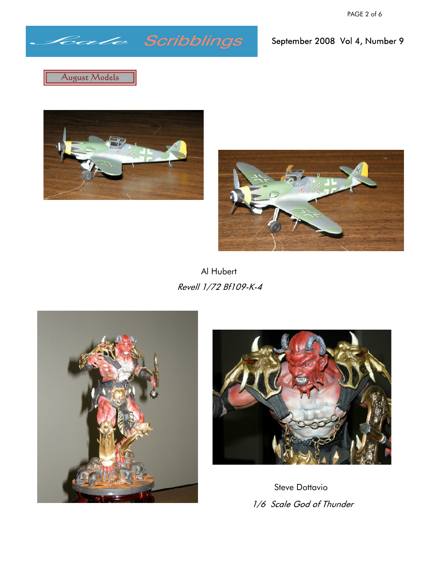# *Scale*

September 2008 Vol 4, Number 9







Al Hubert Revell 1/72 Bf109-K-4





Steve Dottavio1/6 Scale God of Thunder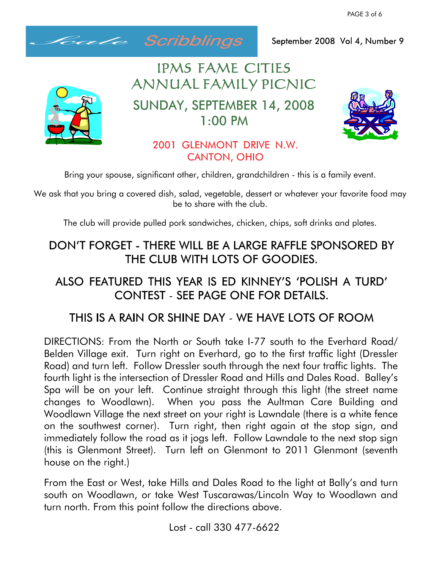PAGE 3 of 6



September 2008 Vol 4, Number 9

# IPMS FAME CITIES ANNUAL FAMILY PICNIC

SUNDAY, SEPTEMBER 14, 2008  $1:00$  PM



### 2001 GLENMONT DRIVE N.W. **CANTON, OHIO**

Bring your spouse, significant other, children, grandchildren - this is a family event.

We ask that you bring a covered dish, salad, vegetable, dessert or whatever your favorite food may be to share with the club.

The club will provide pulled pork sandwiches, chicken, chips, soft drinks and plates.

## DON'T FORGET - THERE WILL BE A LARGE RAFFLE SPONSORED BY THE CLUB WITH LOTS OF GOODIES.

## ALSO FEATURED THIS YEAR IS ED KINNEY'S 'POLISH A TURD' CONTEST - SEE PAGE ONE FOR DETAILS.

# THIS IS A RAIN OR SHINE DAY - WE HAVE LOTS OF ROOM

DIRECTIONS: From the North or South take I-77 south to the Everhard Road/ Belden Village exit. Turn right on Everhard, go to the first traffic light (Dressler Road) and turn left. Follow Dressler south through the next four traffic lights. The fourth light is the intersection of Dressler Road and Hills and Dales Road. Balley's Spa will be on your left. Continue straight through this light (the street name changes to Woodlawn). When you pass the Aultman Care Building and Woodlawn Village the next street on your right is Lawndale (there is a white fence on the southwest corner). Turn right, then right again at the stop sign, and immediately follow the road as it jogs left. Follow Lawndale to the next stop sign (this is Glenmont Street). Turn left on Glenmont to 2011 Glenmont (seventh house on the right.)

From the East or West, take Hills and Dales Road to the light at Bally's and turn south on Woodlawn, or take West Tuscarawas/Lincoln Way to Woodlawn and turn north. From this point follow the directions above.

Lost - call 330 477-6622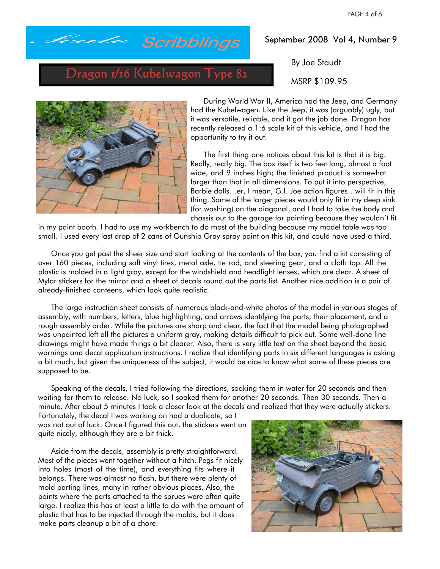

#### September 2008 Vol 4, Number 9

By Joe Staudt

MSRP \$109.95

Dragon 1/16 Kubelwagon Type 82



During World War II, America had the Jeep, and Germany had the Kubelwagen. Like the Jeep, it was (arguably) ugly, but it was versatile, reliable, and it got the job done. Dragon has recently released a 1:6 scale kit of this vehicle, and I had the opportunity to try it out.

The first thing one notices about this kit is that it is big. Really, really big. The box itself is two feet long, almost a foot wide, and 9 inches high; the finished product is somewhat larger than that in all dimensions. To put it into perspective, Barbie dolls…er, I mean, G.I. Joe action figures…will fit in this thing. Some of the larger pieces would only fit in my deep sink (for washing) on the diagonal, and I had to take the body and chassis out to the garage for painting because they wouldn't fit

in my paint booth. I had to use my workbench to do most of the building because my model table was too small. I used every last drop of 2 cans of Gunship Gray spray paint on this kit, and could have used a third.

Once you get past the sheer size and start looking at the contents of the box, you find a kit consisting of over 160 pieces, including soft vinyl tires, metal axle, tie rod, and steering gear, and a cloth top. All the plastic is molded in a light gray, except for the windshield and headlight lenses, which are clear. A sheet of Mylar stickers for the mirror and a sheet of decals round out the parts list. Another nice addition is a pair of already-finished canteens, which look quite realistic.

The large instruction sheet consists of numerous black-and-white photos of the model in various stages of assembly, with numbers, letters, blue highlighting, and arrows identifying the parts, their placement, and a rough assembly order. While the pictures are sharp and clear, the fact that the model being photographed was unpainted left all the pictures a uniform gray, making details difficult to pick out. Some well-done line drawings might have made things a bit clearer. Also, there is very little text on the sheet beyond the basic warnings and decal application instructions. I realize that identifying parts in six different languages is asking a bit much, but given the uniqueness of the subject, it would be nice to know what some of these pieces are supposed to be.

Speaking of the decals, I tried following the directions, soaking them in water for 20 seconds and then waiting for them to release. No luck, so I soaked them for another 20 seconds. Then 30 seconds. Then a minute. After about 5 minutes I took a closer look at the decals and realized that they were actually stickers.

Fortunately, the decal I was working on had a duplicate, so I was not out of luck. Once I figured this out, the stickers went on quite nicely, although they are a bit thick.

Aside from the decals, assembly is pretty straightforward. Most of the pieces went together without a hitch. Pegs fit nicely into holes (most of the time), and everything fits where it belongs. There was almost no flash, but there were plenty of mold parting lines, many in rather obvious places. Also, the points where the parts attached to the sprues were often quite large. I realize this has at least a little to do with the amount of plastic that has to be injected through the molds, but it does make parts cleanup a bit of a chore.

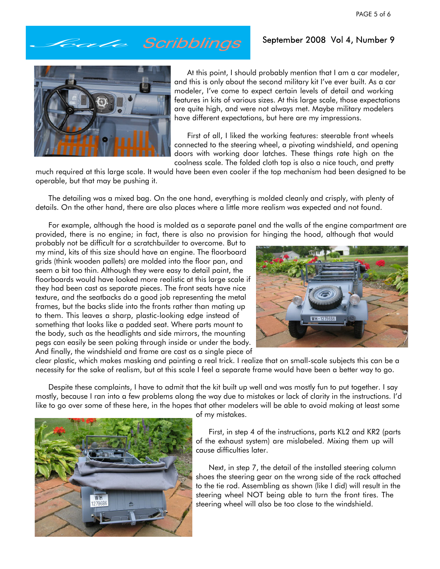September 2008 Vol 4, Number 9

# *Scale*



At this point, I should probably mention that I am a car modeler, and this is only about the second military kit I've ever built. As a car modeler, I've come to expect certain levels of detail and working features in kits of various sizes. At this large scale, those expectations are quite high, and were not always met. Maybe military modelers have different expectations, but here are my impressions.

First of all, I liked the working features: steerable front wheels connected to the steering wheel, a pivoting windshield, and opening doors with working door latches. These things rate high on the coolness scale. The folded cloth top is also a nice touch, and pretty

much required at this large scale. It would have been even cooler if the top mechanism had been designed to be operable, but that may be pushing it.

The detailing was a mixed bag. On the one hand, everything is molded cleanly and crisply, with plenty of details. On the other hand, there are also places where a little more realism was expected and not found.

For example, although the hood is molded as a separate panel and the walls of the engine compartment are provided, there is no engine; in fact, there is also no provision for hinging the hood, although that would

probably not be difficult for a scratchbuilder to overcome. But to my mind, kits of this size should have an engine. The floorboard grids (think wooden pallets) are molded into the floor pan, and seem a bit too thin. Although they were easy to detail paint, the floorboards would have looked more realistic at this large scale if they had been cast as separate pieces. The front seats have nice texture, and the seatbacks do a good job representing the metal frames, but the backs slide into the fronts rather than mating up to them. This leaves a sharp, plastic-looking edge instead of something that looks like a padded seat. Where parts mount to the body, such as the headlights and side mirrors, the mounting pegs can easily be seen poking through inside or under the body. And finally, the windshield and frame are cast as a single piece of



clear plastic, which makes masking and painting a real trick. I realize that on small-scale subjects this can be a necessity for the sake of realism, but at this scale I feel a separate frame would have been a better way to go.

Despite these complaints, I have to admit that the kit built up well and was mostly fun to put together. I say mostly, because I ran into a few problems along the way due to mistakes or lack of clarity in the instructions. I'd like to go over some of these here, in the hopes that other modelers will be able to avoid making at least some



of my mistakes.

First, in step 4 of the instructions, parts KL2 and KR2 (parts of the exhaust system) are mislabeled. Mixing them up will cause difficulties later.

Next, in step 7, the detail of the installed steering column shoes the steering gear on the wrong side of the rack attached to the tie rod. Assembling as shown (like I did) will result in the steering wheel NOT being able to turn the front tires. The steering wheel will also be too close to the windshield.